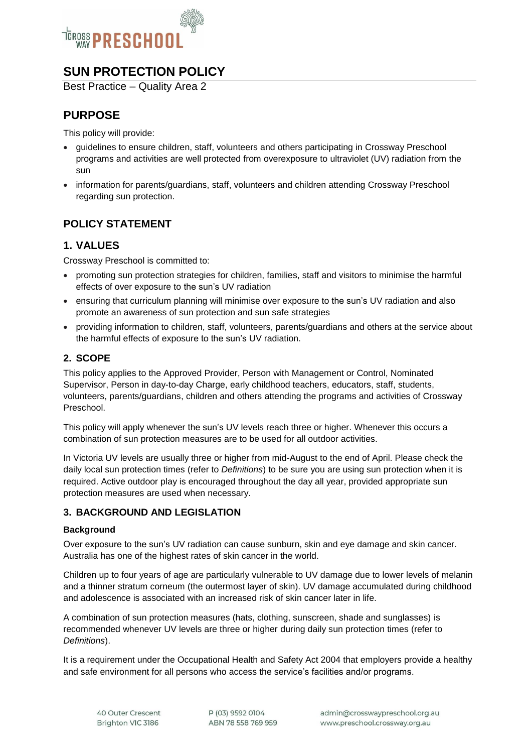

# **SUN PROTECTION POLICY**

Best Practice – Quality Area 2

## **PURPOSE**

This policy will provide:

- guidelines to ensure children, staff, volunteers and others participating in Crossway Preschool programs and activities are well protected from overexposure to ultraviolet (UV) radiation from the sun
- information for parents/guardians, staff, volunteers and children attending Crossway Preschool regarding sun protection.

## **POLICY STATEMENT**

## **1. VALUES**

Crossway Preschool is committed to:

- promoting sun protection strategies for children, families, staff and visitors to minimise the harmful effects of over exposure to the sun's UV radiation
- ensuring that curriculum planning will minimise over exposure to the sun's UV radiation and also promote an awareness of sun protection and sun safe strategies
- providing information to children, staff, volunteers, parents/guardians and others at the service about the harmful effects of exposure to the sun's UV radiation.

## **2. SCOPE**

This policy applies to the Approved Provider, Person with Management or Control, Nominated Supervisor, Person in day-to-day Charge, early childhood teachers, educators, staff, students, volunteers, parents/guardians, children and others attending the programs and activities of Crossway Preschool.

This policy will apply whenever the sun's UV levels reach three or higher. Whenever this occurs a combination of sun protection measures are to be used for all outdoor activities.

In Victoria UV levels are usually three or higher from mid-August to the end of April. Please check the daily local sun protection times (refer to *Definitions*) to be sure you are using sun protection when it is required. Active outdoor play is encouraged throughout the day all year, provided appropriate sun protection measures are used when necessary.

### **3. BACKGROUND AND LEGISLATION**

#### **Background**

Over exposure to the sun's UV radiation can cause sunburn, skin and eye damage and skin cancer. Australia has one of the highest rates of skin cancer in the world.

Children up to four years of age are particularly vulnerable to UV damage due to lower levels of melanin and a thinner stratum corneum (the outermost layer of skin). UV damage accumulated during childhood and adolescence is associated with an increased risk of skin cancer later in life.

A combination of sun protection measures (hats, clothing, sunscreen, shade and sunglasses) is recommended whenever UV levels are three or higher during daily sun protection times (refer to *Definitions*).

It is a requirement under the Occupational Health and Safety Act 2004 that employers provide a healthy and safe environment for all persons who access the service's facilities and/or programs.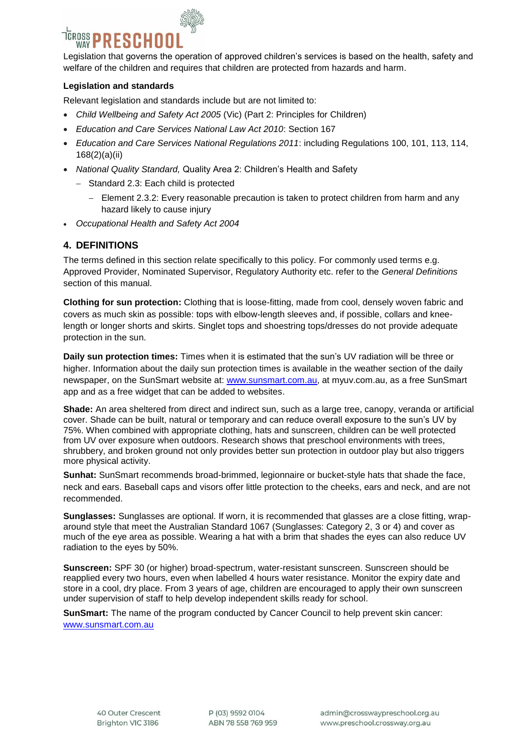# $\bar{\rm \overline{C}}$ ross $\bar{\bf D}$ **RESCHOO**

Legislation that governs the operation of approved children's services is based on the health, safety and welfare of the children and requires that children are protected from hazards and harm.

#### **Legislation and standards**

Relevant legislation and standards include but are not limited to:

- *Child Wellbeing and Safety Act 2005* (Vic) (Part 2: Principles for Children)
- *Education and Care Services National Law Act 2010*: Section 167
- *Education and Care Services National Regulations 2011*: including Regulations 100, 101, 113, 114, 168(2)(a)(ii)
- *National Quality Standard,* Quality Area 2: Children's Health and Safety
	- Standard 2.3: Each child is protected
		- $-$  Element 2.3.2: Every reasonable precaution is taken to protect children from harm and any hazard likely to cause injury
- *Occupational Health and Safety Act 2004*

## **4. DEFINITIONS**

The terms defined in this section relate specifically to this policy. For commonly used terms e.g. Approved Provider, Nominated Supervisor, Regulatory Authority etc. refer to the *General Definitions* section of this manual.

**Clothing for sun protection:** Clothing that is loose-fitting, made from cool, densely woven fabric and covers as much skin as possible: tops with elbow-length sleeves and, if possible, collars and kneelength or longer shorts and skirts. Singlet tops and shoestring tops/dresses do not provide adequate protection in the sun.

**Daily sun protection times:** Times when it is estimated that the sun's UV radiation will be three or higher. Information about the daily sun protection times is available in the weather section of the daily newspaper, on the SunSmart website at: [www.sunsmart.com.au,](http://www.sunsmart.com.au/) at myuv.com.au, as a free SunSmart app and as a free widget that can be added to websites.

**Shade:** An area sheltered from direct and indirect sun, such as a large tree, canopy, veranda or artificial cover. Shade can be built, natural or temporary and can reduce overall exposure to the sun's UV by 75%. When combined with appropriate clothing, hats and sunscreen, children can be well protected from UV over exposure when outdoors. Research shows that preschool environments with trees, shrubbery, and broken ground not only provides better sun protection in outdoor play but also triggers more physical activity.

**Sunhat:** SunSmart recommends broad-brimmed, legionnaire or bucket-style hats that shade the face, neck and ears. Baseball caps and visors offer little protection to the cheeks, ears and neck, and are not recommended.

**Sunglasses:** Sunglasses are optional. If worn, it is recommended that glasses are a close fitting, wraparound style that meet the Australian Standard 1067 (Sunglasses: Category 2, 3 or 4) and cover as much of the eye area as possible. Wearing a hat with a brim that shades the eyes can also reduce UV radiation to the eyes by 50%.

**Sunscreen:** SPF 30 (or higher) broad-spectrum, water-resistant sunscreen. Sunscreen should be reapplied every two hours, even when labelled 4 hours water resistance. Monitor the expiry date and store in a cool, dry place. From 3 years of age, children are encouraged to apply their own sunscreen under supervision of staff to help develop independent skills ready for school.

**SunSmart:** The name of the program conducted by Cancer Council to help prevent skin cancer: [www.sunsmart.com.au](http://www.sunsmart.com.au/)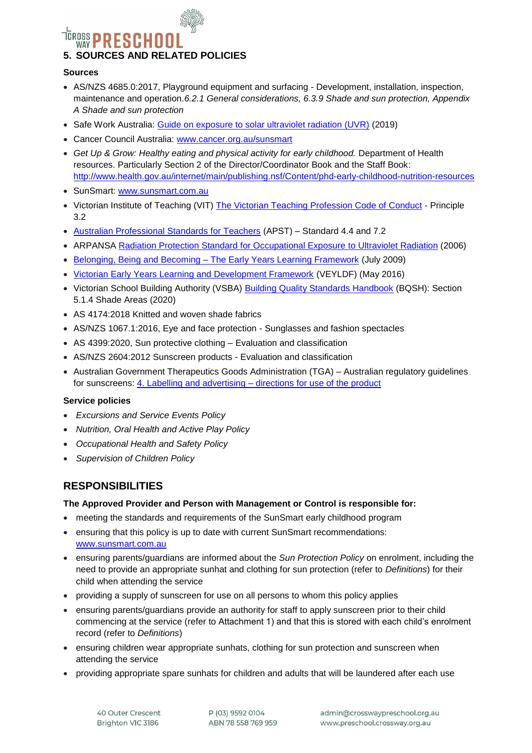# <sup>TEROSS</sup> PRESCHO **5. SOURCES AND RELATED POLICIES**

#### **Sources**

- AS/NZS 4685.0:2017, Playground equipment and surfacing Development, installation, inspection, maintenance and operation.*6.2.1 General considerations, 6.3.9 Shade and sun protection, Appendix A Shade and sun protection*
- Safe Work Australia: [Guide on exposure to solar ultraviolet radiation \(UVR\)](https://www.safeworkaustralia.gov.au/system/files/documents/2001/guide-exposure-solar-ultraviolet-radiation_1.pdf) (2019)
- Cancer Council Australia: [www.cancer.org.au/sunsmart](http://www.cancer.org.au/sunsmart)
- Get Up & Grow: Healthy eating and physical activity for early childhood. Department of Health resources. Particularly Section 2 of the Director/Coordinator Book and the Staff Book: <http://www.health.gov.au/internet/main/publishing.nsf/Content/phd-early-childhood-nutrition-resources>
- SunSmart: [www.sunsmart.com.au](http://www.sunsmart.com.au/)
- Victorian Institute of Teaching (VIT) [The Victorian Teaching Profession Code of Conduct](http://www.vit.vic.edu.au/__data/assets/pdf_file/0018/35604/Code-of-Conduct-2016.pdf) Principle 3.2
- [Australian Professional Standards for Teachers](http://www.vit.vic.edu.au/__data/assets/pdf_file/0005/38678/Opportunities-for-demonstrating-the-APST-through-Inquiry-approach.pdf) (APST) Standard 4.4 and 7.2
- ARPANSA [Radiation Protection Standard for Occupational Exposure](http://www.arpansa.gov.au/pubs/rps/rps12.pdf) to Ultraviolet Radiation (2006)
- Belonging, Being and Becoming [The Early Years Learning Framework](https://www.education.gov.au/early-years-learning-framework) (July 2009)
- [Victorian Early Years Learning and Development Framework](http://www.education.vic.gov.au/childhood/providers/edcare/pages/veyladf.aspx?Redirect=1) (VEYLDF) (May 2016)
- Victorian School Building Authority (VSBA) **Building Quality Standards Handbook (BQSH)**: Section 5.1.4 Shade Areas (2020)
- AS 4174:2018 Knitted and woven shade fabrics
- AS/NZS 1067.1:2016, Eye and face protection Sunglasses and fashion spectacles
- AS 4399:2020, Sun protective clothing Evaluation and classification
- AS/NZS 2604:2012 Sunscreen products Evaluation and classification
- Australian Government Therapeutics Goods Administration (TGA) Australian regulatory guidelines for sunscreens: 4. Labelling and advertising – [directions for use of the product](https://www.tga.gov.au/book/4-labelling-and-advertising)

#### **Service policies**

- *Excursions and Service Events Policy*
- *Nutrition, Oral Health and Active Play Policy*
- *Occupational Health and Safety Policy*
- *Supervision of Children Policy*

## **RESPONSIBILITIES**

#### **The Approved Provider and Person with Management or Control is responsible for:**

- meeting the standards and requirements of the SunSmart early childhood program
- ensuring that this policy is up to date with current SunSmart recommendations: [www.sunsmart.com.au](http://www.sunsmart.com.au/)
- ensuring parents/guardians are informed about the *Sun Protection Policy* on enrolment, including the need to provide an appropriate sunhat and clothing for sun protection (refer to *Definitions*) for their child when attending the service
- providing a supply of sunscreen for use on all persons to whom this policy applies
- ensuring parents/guardians provide an authority for staff to apply sunscreen prior to their child commencing at the service (refer to Attachment 1) and that this is stored with each child's enrolment record (refer to *Definitions*)
- ensuring children wear appropriate sunhats, clothing for sun protection and sunscreen when attending the service
- providing appropriate spare sunhats for children and adults that will be laundered after each use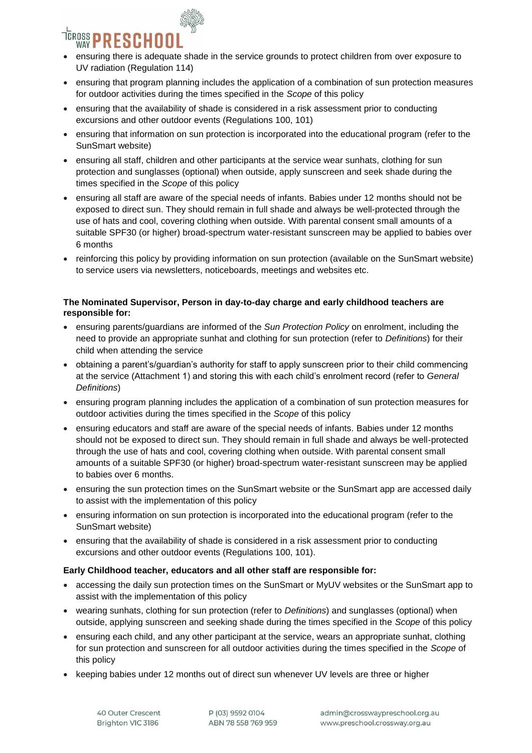

- ensuring there is adequate shade in the service grounds to protect children from over exposure to UV radiation (Regulation 114)
- ensuring that program planning includes the application of a combination of sun protection measures for outdoor activities during the times specified in the *Scope* of this policy
- ensuring that the availability of shade is considered in a risk assessment prior to conducting excursions and other outdoor events (Regulations 100, 101)
- ensuring that information on sun protection is incorporated into the educational program (refer to the SunSmart website)
- ensuring all staff, children and other participants at the service wear sunhats, clothing for sun protection and sunglasses (optional) when outside, apply sunscreen and seek shade during the times specified in the *Scope* of this policy
- ensuring all staff are aware of the special needs of infants. Babies under 12 months should not be exposed to direct sun. They should remain in full shade and always be well-protected through the use of hats and cool, covering clothing when outside. With parental consent small amounts of a suitable SPF30 (or higher) broad-spectrum water-resistant sunscreen may be applied to babies over 6 months
- reinforcing this policy by providing information on sun protection (available on the SunSmart website) to service users via newsletters, noticeboards, meetings and websites etc.

#### **The Nominated Supervisor, Person in day-to-day charge and early childhood teachers are responsible for:**

- ensuring parents/guardians are informed of the *Sun Protection Policy* on enrolment, including the need to provide an appropriate sunhat and clothing for sun protection (refer to *Definitions*) for their child when attending the service
- obtaining a parent's/guardian's authority for staff to apply sunscreen prior to their child commencing at the service (Attachment 1) and storing this with each child's enrolment record (refer to *General Definitions*)
- ensuring program planning includes the application of a combination of sun protection measures for outdoor activities during the times specified in the *Scope* of this policy
- ensuring educators and staff are aware of the special needs of infants. Babies under 12 months should not be exposed to direct sun. They should remain in full shade and always be well-protected through the use of hats and cool, covering clothing when outside. With parental consent small amounts of a suitable SPF30 (or higher) broad-spectrum water-resistant sunscreen may be applied to babies over 6 months.
- ensuring the sun protection times on the SunSmart website or the SunSmart app are accessed daily to assist with the implementation of this policy
- ensuring information on sun protection is incorporated into the educational program (refer to the SunSmart website)
- ensuring that the availability of shade is considered in a risk assessment prior to conducting excursions and other outdoor events (Regulations 100, 101).

#### **Early Childhood teacher, educators and all other staff are responsible for:**

- accessing the daily sun protection times on the SunSmart or MyUV websites or the SunSmart app to assist with the implementation of this policy
- wearing sunhats, clothing for sun protection (refer to *Definitions*) and sunglasses (optional) when outside, applying sunscreen and seeking shade during the times specified in the *Scope* of this policy
- ensuring each child, and any other participant at the service, wears an appropriate sunhat, clothing for sun protection and sunscreen for all outdoor activities during the times specified in the *Scope* of this policy
- keeping babies under 12 months out of direct sun whenever UV levels are three or higher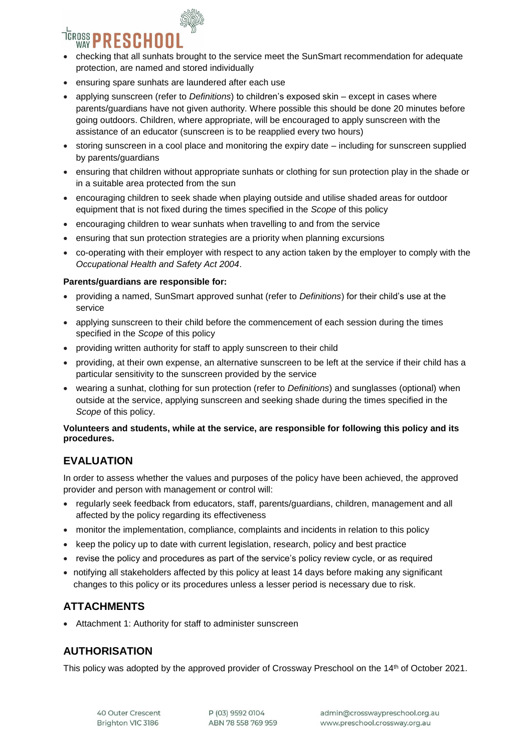

- checking that all sunhats brought to the service meet the SunSmart recommendation for adequate protection, are named and stored individually
- ensuring spare sunhats are laundered after each use
- applying sunscreen (refer to *Definitions*) to children's exposed skin except in cases where parents/guardians have not given authority. Where possible this should be done 20 minutes before going outdoors. Children, where appropriate, will be encouraged to apply sunscreen with the assistance of an educator (sunscreen is to be reapplied every two hours)
- storing sunscreen in a cool place and monitoring the expiry date including for sunscreen supplied by parents/guardians
- ensuring that children without appropriate sunhats or clothing for sun protection play in the shade or in a suitable area protected from the sun
- encouraging children to seek shade when playing outside and utilise shaded areas for outdoor equipment that is not fixed during the times specified in the *Scope* of this policy
- encouraging children to wear sunhats when travelling to and from the service
- ensuring that sun protection strategies are a priority when planning excursions
- co-operating with their employer with respect to any action taken by the employer to comply with the *Occupational Health and Safety Act 2004*.

#### **Parents/guardians are responsible for:**

- providing a named, SunSmart approved sunhat (refer to *Definitions*) for their child's use at the service
- applying sunscreen to their child before the commencement of each session during the times specified in the *Scope* of this policy
- providing written authority for staff to apply sunscreen to their child
- providing, at their own expense, an alternative sunscreen to be left at the service if their child has a particular sensitivity to the sunscreen provided by the service
- wearing a sunhat, clothing for sun protection (refer to *Definitions*) and sunglasses (optional) when outside at the service, applying sunscreen and seeking shade during the times specified in the *Scope* of this policy.

#### **Volunteers and students, while at the service, are responsible for following this policy and its procedures.**

## **EVALUATION**

In order to assess whether the values and purposes of the policy have been achieved, the approved provider and person with management or control will:

- regularly seek feedback from educators, staff, parents/guardians, children, management and all affected by the policy regarding its effectiveness
- monitor the implementation, compliance, complaints and incidents in relation to this policy
- keep the policy up to date with current legislation, research, policy and best practice
- revise the policy and procedures as part of the service's policy review cycle, or as required
- notifying all stakeholders affected by this policy at least 14 days before making any significant changes to this policy or its procedures unless a lesser period is necessary due to risk.

## **ATTACHMENTS**

Attachment 1: Authority for staff to administer sunscreen

## **AUTHORISATION**

This policy was adopted by the approved provider of Crossway Preschool on the 14th of October 2021.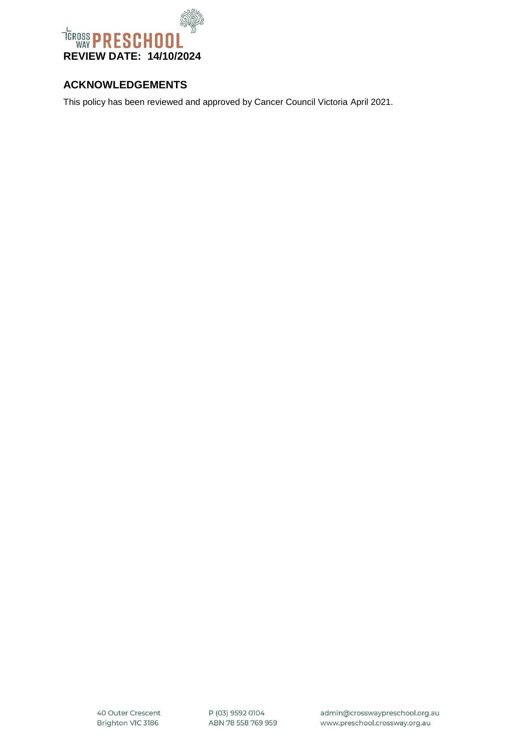

## **ACKNOWLEDGEMENTS**

This policy has been reviewed and approved by Cancer Council Victoria April 2021.